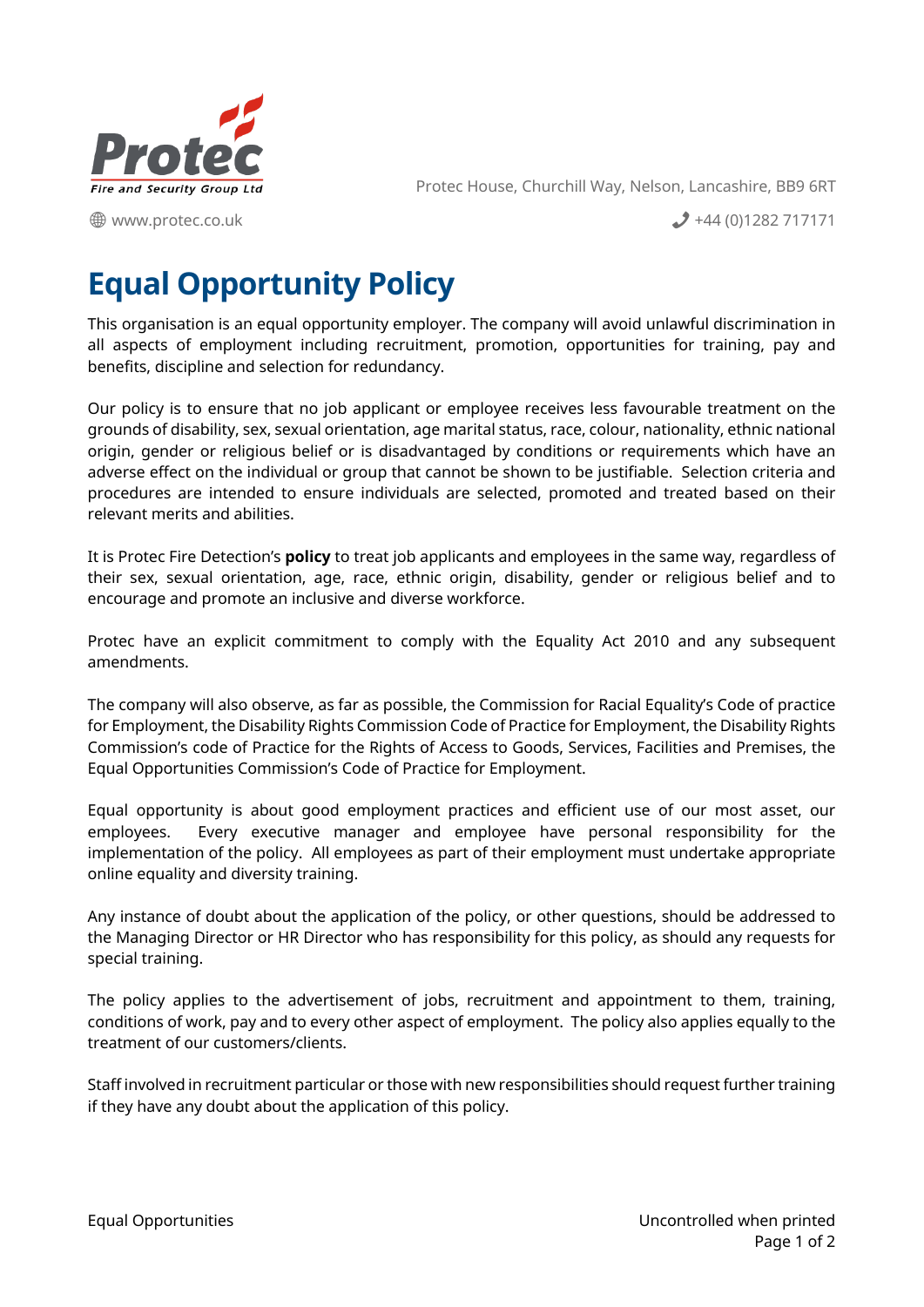

Protec House, Churchill Way, Nelson, Lancashire, BB9 6RT

www.protec.co.uk +44 (0)1282 717171

## **Equal Opportunity Policy**

This organisation is an equal opportunity employer. The company will avoid unlawful discrimination in all aspects of employment including recruitment, promotion, opportunities for training, pay and benefits, discipline and selection for redundancy.

Our policy is to ensure that no job applicant or employee receives less favourable treatment on the grounds of disability, sex, sexual orientation, age marital status, race, colour, nationality, ethnic national origin, gender or religious belief or is disadvantaged by conditions or requirements which have an adverse effect on the individual or group that cannot be shown to be justifiable. Selection criteria and procedures are intended to ensure individuals are selected, promoted and treated based on their relevant merits and abilities.

It is Protec Fire Detection's **policy** to treat job applicants and employees in the same way, regardless of their sex, sexual orientation, age, race, ethnic origin, disability, gender or religious belief and to encourage and promote an inclusive and diverse workforce.

Protec have an explicit commitment to comply with the Equality Act 2010 and any subsequent amendments.

The company will also observe, as far as possible, the Commission for Racial Equality's Code of practice for Employment, the Disability Rights Commission Code of Practice for Employment, the Disability Rights Commission's code of Practice for the Rights of Access to Goods, Services, Facilities and Premises, the Equal Opportunities Commission's Code of Practice for Employment.

Equal opportunity is about good employment practices and efficient use of our most asset, our employees. Every executive manager and employee have personal responsibility for the implementation of the policy. All employees as part of their employment must undertake appropriate online equality and diversity training.

Any instance of doubt about the application of the policy, or other questions, should be addressed to the Managing Director or HR Director who has responsibility for this policy, as should any requests for special training.

The policy applies to the advertisement of jobs, recruitment and appointment to them, training, conditions of work, pay and to every other aspect of employment. The policy also applies equally to the treatment of our customers/clients.

Staff involved in recruitment particular or those with new responsibilities should request further training if they have any doubt about the application of this policy.